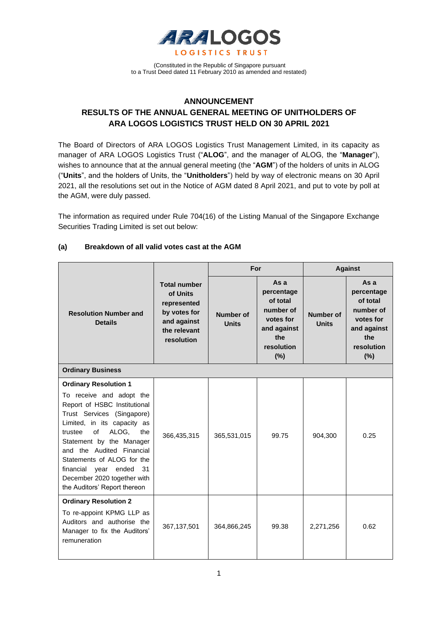

(Constituted in the Republic of Singapore pursuant to a Trust Deed dated 11 February 2010 as amended and restated)

# **ANNOUNCEMENT RESULTS OF THE ANNUAL GENERAL MEETING OF UNITHOLDERS OF ARA LOGOS LOGISTICS TRUST HELD ON 30 APRIL 2021**

The Board of Directors of ARA LOGOS Logistics Trust Management Limited, in its capacity as manager of ARA LOGOS Logistics Trust ("**ALOG**", and the manager of ALOG, the "**Manager**"), wishes to announce that at the annual general meeting (the "**AGM**") of the holders of units in ALOG ("**Units**", and the holders of Units, the "**Unitholders**") held by way of electronic means on 30 April 2021, all the resolutions set out in the Notice of AGM dated 8 April 2021, and put to vote by poll at the AGM, were duly passed.

The information as required under Rule 704(16) of the Listing Manual of the Singapore Exchange Securities Trading Limited is set out below:

## **(a) Breakdown of all valid votes cast at the AGM**

|                                                                                                                                                                                                                                                                                                                                                                                  |                                                                                                             | For                       |                                                                                                        | <b>Against</b>            |                                                                                                        |
|----------------------------------------------------------------------------------------------------------------------------------------------------------------------------------------------------------------------------------------------------------------------------------------------------------------------------------------------------------------------------------|-------------------------------------------------------------------------------------------------------------|---------------------------|--------------------------------------------------------------------------------------------------------|---------------------------|--------------------------------------------------------------------------------------------------------|
| <b>Resolution Number and</b><br><b>Details</b>                                                                                                                                                                                                                                                                                                                                   | <b>Total number</b><br>of Units<br>represented<br>by votes for<br>and against<br>the relevant<br>resolution | Number of<br><b>Units</b> | As a<br>percentage<br>of total<br>number of<br>votes for<br>and against<br>the<br>resolution<br>$(\%)$ | Number of<br><b>Units</b> | As a<br>percentage<br>of total<br>number of<br>votes for<br>and against<br>the<br>resolution<br>$(\%)$ |
| <b>Ordinary Business</b>                                                                                                                                                                                                                                                                                                                                                         |                                                                                                             |                           |                                                                                                        |                           |                                                                                                        |
| <b>Ordinary Resolution 1</b><br>To receive and adopt the<br>Report of HSBC Institutional<br>Trust Services (Singapore)<br>Limited, in its capacity as<br>ALOG,<br>the<br>trustee<br>οf<br>Statement by the Manager<br>and the Audited Financial<br>Statements of ALOG for the<br>ended<br>financial<br>31<br>year<br>December 2020 together with<br>the Auditors' Report thereon | 366,435,315                                                                                                 | 365,531,015               | 99.75                                                                                                  | 904,300                   | 0.25                                                                                                   |
| <b>Ordinary Resolution 2</b><br>To re-appoint KPMG LLP as<br>Auditors and authorise the<br>Manager to fix the Auditors'<br>remuneration                                                                                                                                                                                                                                          | 367,137,501                                                                                                 | 364,866,245               | 99.38                                                                                                  | 2,271,256                 | 0.62                                                                                                   |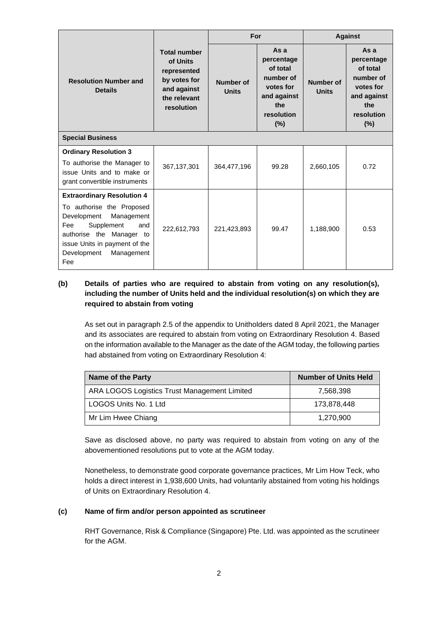|                                                                                                                                                                                                                          |                                                                                                             | For                       |                                                                                                        | <b>Against</b>            |                                                                                                       |  |  |
|--------------------------------------------------------------------------------------------------------------------------------------------------------------------------------------------------------------------------|-------------------------------------------------------------------------------------------------------------|---------------------------|--------------------------------------------------------------------------------------------------------|---------------------------|-------------------------------------------------------------------------------------------------------|--|--|
| <b>Resolution Number and</b><br><b>Details</b>                                                                                                                                                                           | <b>Total number</b><br>of Units<br>represented<br>by votes for<br>and against<br>the relevant<br>resolution | Number of<br><b>Units</b> | As a<br>percentage<br>of total<br>number of<br>votes for<br>and against<br>the<br>resolution<br>$(\%)$ | Number of<br><b>Units</b> | Asa<br>percentage<br>of total<br>number of<br>votes for<br>and against<br>the<br>resolution<br>$(\%)$ |  |  |
| <b>Special Business</b>                                                                                                                                                                                                  |                                                                                                             |                           |                                                                                                        |                           |                                                                                                       |  |  |
| <b>Ordinary Resolution 3</b><br>To authorise the Manager to<br>issue Units and to make or<br>grant convertible instruments                                                                                               | 367, 137, 301                                                                                               | 364,477,196               | 99.28                                                                                                  | 2,660,105                 | 0.72                                                                                                  |  |  |
| <b>Extraordinary Resolution 4</b><br>To authorise the Proposed<br>Development<br>Management<br>Supplement<br>Fee<br>and<br>authorise the Manager to<br>issue Units in payment of the<br>Development<br>Management<br>Fee | 222,612,793                                                                                                 | 221,423,893               | 99.47                                                                                                  | 1,188,900                 | 0.53                                                                                                  |  |  |

#### **(b) Details of parties who are required to abstain from voting on any resolution(s), including the number of Units held and the individual resolution(s) on which they are required to abstain from voting**

As set out in paragraph 2.5 of the appendix to Unitholders dated 8 April 2021, the Manager and its associates are required to abstain from voting on Extraordinary Resolution 4. Based on the information available to the Manager as the date of the AGM today, the following parties had abstained from voting on Extraordinary Resolution 4:

| <b>Name of the Party</b>                     | <b>Number of Units Held</b> |  |  |
|----------------------------------------------|-----------------------------|--|--|
| ARA LOGOS Logistics Trust Management Limited | 7,568,398                   |  |  |
| LOGOS Units No. 1 Ltd                        | 173.878.448                 |  |  |
| Mr Lim Hwee Chiang                           | 1,270,900                   |  |  |

Save as disclosed above, no party was required to abstain from voting on any of the abovementioned resolutions put to vote at the AGM today.

Nonetheless, to demonstrate good corporate governance practices, Mr Lim How Teck, who holds a direct interest in 1,938,600 Units, had voluntarily abstained from voting his holdings of Units on Extraordinary Resolution 4.

#### **(c) Name of firm and/or person appointed as scrutineer**

RHT Governance, Risk & Compliance (Singapore) Pte. Ltd. was appointed as the scrutineer for the AGM.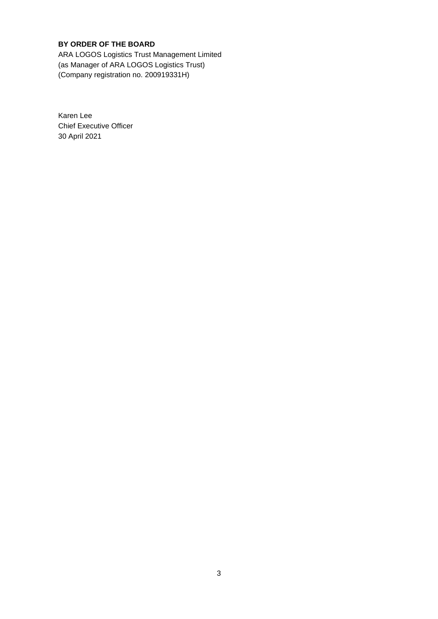## **BY ORDER OF THE BOARD**

ARA LOGOS Logistics Trust Management Limited (as Manager of ARA LOGOS Logistics Trust) (Company registration no. 200919331H)

Karen Lee Chief Executive Officer 30 April 2021